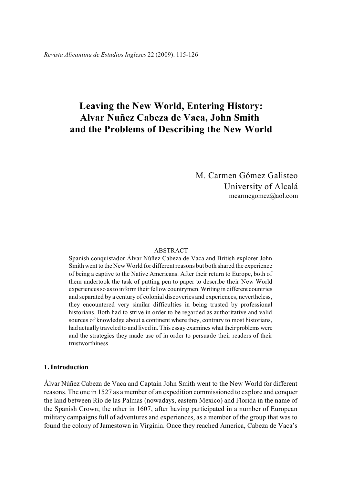# **Leaving the New World, Entering History: Alvar Nuñez Cabeza de Vaca, John Smith and the Problems of Describing the New World**

M. Carmen Gómez Galisteo University of Alcalá mcarmegomez@aol.com

#### ABSTRACT

Spanish conquistador Álvar Núñez Cabeza de Vaca and British explorer John Smith went to the New World for different reasons but both shared the experience of being a captive to the Native Americans. After their return to Europe, both of them undertook the task of putting pen to paper to describe their New World experiences so as to inform their fellow countrymen. Writing in different countries and separated by a century of colonial discoveries and experiences, nevertheless, they encountered very similar difficulties in being trusted by professional historians. Both had to strive in order to be regarded as authoritative and valid sources of knowledge about a continent where they, contrary to most historians, had actually traveled to and lived in. This essay examines what their problems were and the strategies they made use of in order to persuade their readers of their trustworthiness.

# **1. Introduction**

Álvar Núñez Cabeza de Vaca and Captain John Smith went to the New World for different reasons. The one in 1527 as a member of an expedition commissioned to explore and conquer the land between Río de las Palmas (nowadays, eastern Mexico) and Florida in the name of the Spanish Crown; the other in 1607, after having participated in a number of European military campaigns full of adventures and experiences, as a member of the group that was to found the colony of Jamestown in Virginia. Once they reached America, Cabeza de Vaca's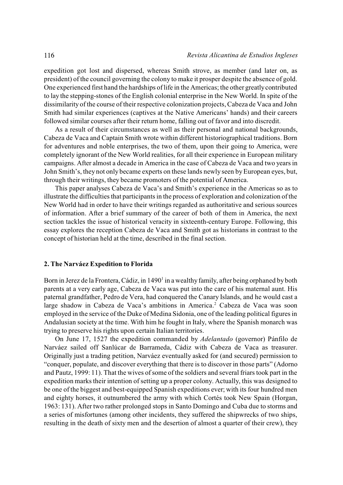expedition got lost and dispersed, whereas Smith strove, as member (and later on, as president) of the council governing the colony to make it prosper despite the absence of gold. One experienced first hand the hardships oflife in the Americas; the other greatly contributed to lay the stepping-stones of the English colonial enterprise in the New World. In spite of the dissimilarity of the course of their respective colonization projects,Cabeza de Vaca and John Smith had similar experiences (captives at the Native Americans' hands) and their careers followed similar courses after their return home, falling out of favor and into discredit.

As a result of their circumstances as well as their personal and national backgrounds, Cabeza de Vaca and Captain Smith wrote within different historiographical traditions. Born for adventures and noble enterprises, the two of them, upon their going to America, were completely ignorant of the New World realities, for all their experience in European military campaigns. After almost a decade in America in the case of Cabeza de Vaca and two years in John Smith's, they not only became experts on these lands newly seen byEuropean eyes, but, through their writings, they became promoters of the potential of America.

This paper analyses Cabeza de Vaca's and Smith's experience in the Americas so as to illustrate the difficulties that participants in the process of exploration and colonization of the New World had in order to have their writings regarded as authoritative and serious sources of information. After a brief summary of the career of both of them in America, the next section tackles the issue of historical veracity in sixteenth-century Europe. Following, this essay explores the reception Cabeza de Vaca and Smith got as historians in contrast to the concept of historian held at the time, described in the final section.

# **2. The Narváez Expedition to Florida**

Born in Jerez de la Frontera, Cádiz, in 1490<sup>1</sup> in a wealthy family, after being orphaned by both parents at a very early age, Cabeza de Vaca was put into the care of his maternal aunt. His paternal grandfather, Pedro de Vera, had conquered the Canary Islands, and he would cast a large shadow in Cabeza de Vaca's ambitions in America.<sup>2</sup> Cabeza de Vaca was soon employed in the service of the Duke of Medina Sidonia, one of the leading political figures in Andalusian society at the time. With him he fought in Italy, where the Spanish monarch was trying to preserve his rights upon certain Italian territories.

On June 17, 1527 the expedition commanded by *Adelantado* (governor) Pánfilo de Narváez sailed off Sanlúcar de Barrameda, Cádiz with Cabeza de Vaca as treasurer. Originally just a trading petition, Narváez eventually asked for (and secured) permission to "conquer, populate, and discover everything that there is to discover in those parts" (Adorno and Pautz, 1999: 11). That the wives of some of the soldiers and several friars took part in the expedition marks their intention ofsetting up a proper colony. Actually, this was designed to be one of the biggest and best-equipped Spanish expeditions ever; with its four hundred men and eighty horses, it outnumbered the army with which Cortés took New Spain (Horgan, 1963: 131). After two rather prolonged stops in Santo Domingo and Cuba due to storms and a series of misfortunes (among other incidents, they suffered the shipwrecks of two ships, resulting in the death of sixty men and the desertion of almost a quarter of their crew), they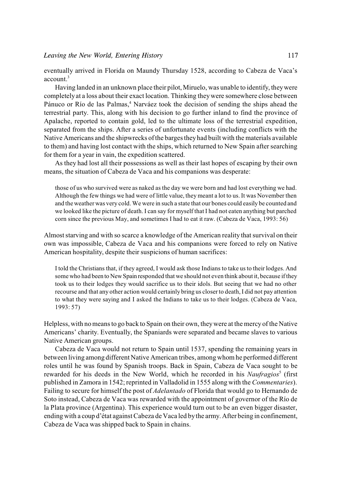eventually arrived in Florida on Maundy Thursday 1528, according to Cabeza de Vaca's account.<sup>3</sup>

Having landed in an unknown place their pilot, Miruelo, was unable to identify, they were completely at a loss about their exact location. Thinking theywere somewhere close between Pánuco or Río de las Palmas,<sup>4</sup> Narváez took the decision of sending the ships ahead the terrestrial party. This, along with his decision to go further inland to find the province of Apalache, reported to contain gold, led to the ultimate loss of the terrestrial expedition, separated from the ships. After a series of unfortunate events (including conflicts with the Native Americans and the shipwrecks of the barges they had built with the materials available to them) and having lost contact with the ships, which returned to New Spain after searching for them for a year in vain, the expedition scattered.

As they had lost all their possessions as well as their last hopes of escaping by their own means, the situation of Cabeza de Vaca and his companions was desperate:

those of us who survived were as naked as the day we were born and had lost everything we had. Although the few things we had were of little value, they meant a lot to us. It was November then and the weather was very cold. We were in such a state that our bones could easily be counted and we looked like the picture of death. I can say for myself that I had not eaten anything but parched corn since the previous May, and sometimes I had to eat it raw. (Cabeza de Vaca, 1993: 56)

Almost starving and with so scarce a knowledge of the American reality that survival on their own was impossible, Cabeza de Vaca and his companions were forced to rely on Native American hospitality, despite their suspicions of human sacrifices:

I told the Christians that, if they agreed, I would ask those Indians to take us to their lodges. And some who had been to New Spain responded that we should not even think about it, because if they took us to their lodges they would sacrifice us to their idols. But seeing that we had no other recourse and that any other action would certainly bring us closer to death, I did not pay attention to what they were saying and I asked the Indians to take us to their lodges. (Cabeza de Vaca, 1993: 57)

Helpless, with no meansto go back to Spain on their own, they were at the mercy of the Native Americans' charity. Eventually, the Spaniards were separated and became slaves to various Native American groups.

Cabeza de Vaca would not return to Spain until 1537, spending the remaining years in between living among different Native American tribes, among whom he performed different roles until he was found by Spanish troops. Back in Spain, Cabeza de Vaca sought to be rewarded for his deeds in the New World, which he recorded in his *Naufragios*<sup>5</sup> (first published in Zamora in 1542; reprinted in Valladolid in 1555 along with the *Commentaries*). Failing to secure for himself the post of *Adelantado* of Florida that would go to Hernando de Soto instead, Cabeza de Vaca was rewarded with the appointment of governor of the Río de la Plata province (Argentina). This experience would turn out to be an even bigger disaster, ending with a coup d'état against Cabeza de Vaca led by the army. After being in confinement, Cabeza de Vaca was shipped back to Spain in chains.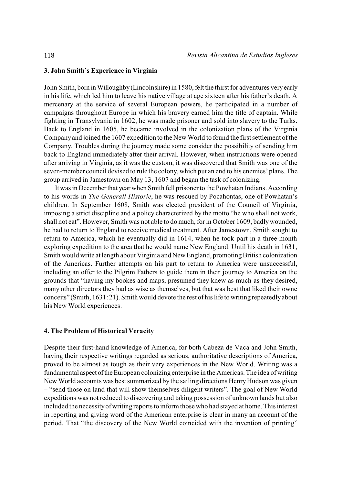### **3. John Smith's Experience in Virginia**

John Smith, born in Willoughby (Lincolnshire) in 1580, felt the thirst for adventures very early in his life, which led him to leave his native village at age sixteen after his father's death. A mercenary at the service of several European powers, he participated in a number of campaigns throughout Europe in which his bravery earned him the title of captain. While fighting in Transylvania in 1602, he was made prisoner and sold into slavery to the Turks. Back to England in 1605, he became involved in the colonization plans of the Virginia Company and joined the 1607 expedition to the New World to found the first settlement of the Company. Troubles during the journey made some consider the possibility of sending him back to England immediately after their arrival. However, when instructions were opened after arriving in Virginia, as it was the custom, it was discovered that Smith was one of the seven-member council devised to rule the colony, which put an end to his enemies' plans. The group arrived in Jamestown on May 13, 1607 and began the task of colonizing.

It was in December that year when Smith fell prisoner to the Powhatan Indians. According to his words in *The Generall Historie*, he was rescued by Pocahontas, one of Powhatan's children. In September 1608, Smith was elected president of the Council of Virginia, imposing a strict discipline and a policy characterized by the motto "he who shall not work, shall not eat". However, Smith was not able to do much, for in October 1609, badly wounded, he had to return to England to receive medical treatment. After Jamestown, Smith sought to return to America, which he eventually did in 1614, when he took part in a three-month exploring expedition to the area that he would name New England. Until his death in 1631, Smith would write at length about Virginia and New England, promoting British colonization of the Americas. Further attempts on his part to return to America were unsuccessful, including an offer to the Pilgrim Fathers to guide them in their journey to America on the grounds that "having my bookes and maps, presumed they knew as much as they desired, many other directors they had as wise as themselves, but that was best that liked their owne conceits" (Smith, 1631: 21). Smith would devote the rest of his life to writing repeatedly about his New World experiences.

## **4. The Problem of Historical Veracity**

Despite their first-hand knowledge of America, for both Cabeza de Vaca and John Smith, having their respective writings regarded as serious, authoritative descriptions of America, proved to be almost as tough as their very experiences in the New World. Writing was a fundamental aspect of the European colonizing enterprise in the Americas. The idea of writing New World accounts was bestsummarized by the sailing directions Henry Hudson was given – "send those on land that will show themselves diligent writers". The goal of New World expeditions was not reduced to discovering and taking possession of unknown lands but also included the necessity of writing reports to inform those who had stayed at home. This interest in reporting and giving word of the American enterprise is clear in many an account of the period. That "the discovery of the New World coincided with the invention of printing"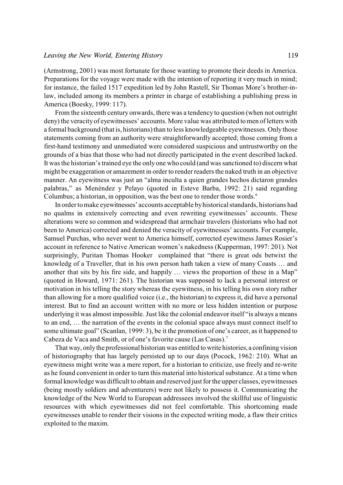## *Leaving the New World, Entering History* 119

(Armstrong, 2001) was most fortunate for those wanting to promote their deeds in America. Preparations for the voyage were made with the intention of reporting it very much in mind; for instance, the failed 1517 expedition led by John Rastell, Sir Thomas More's brother-inlaw, included among its members a printer in charge of establishing a publishing press in America (Boesky, 1999: 117).

From the sixteenth century onwards, there was a tendency to question (when not outright deny) the veracity of eyewitnesses' accounts. More value was attributed to men of letters with a formal background (that is, historians) than to less knowledgeable eyewitnesses. Only those statements coming from an authority were straightforwardly accepted; those coming from a first-hand testimony and unmediated were considered suspicious and untrustworthy on the grounds of a bias that those who had not directly participated in the event described lacked. It was the historian's trained eye the only one who could (and was sanctioned to) discern what might be exaggeration or amazement in order to render readers the naked truth in an objective manner. An eyewitness was just an "alma inculta a quien grandes hechos dictaron grandes palabras," as Menéndez y Pelayo (quoted in Esteve Barba, 1992: 21) said regarding Columbus; a historian, in opposition, was the best one to render those words.<sup>6</sup>

In order to make eyewitnesses' accounts acceptable by historical standards, historians had no qualms in extensively correcting and even rewriting eyewitnesses' accounts. These alterations were so common and widespread that armchair travelers (historians who had not been to America) corrected and denied the veracity of eyewitnesses' accounts. For example, Samuel Purchas, who never went to America himself, corrected eyewitness James Rosier's account in reference to Native American women's nakedness (Kupperman, 1997: 201). Not surprisingly, Puritan Thomas Hooker complained that "there is great ods betwixt the knowledg of a Traveller, that in his own person hath taken a view of many Coasts … and another that sits by his fire side, and happily … views the proportion of these in a Map" (quoted in Howard, 1971: 261). The historian was supposed to lack a personal interest or motivation in his telling the story whereas the eyewitness, in his telling his own story rather than allowing for a more qualified voice (i.e., the historian) to express it, did have a personal interest. But to find an account written with no more or less hidden intention or purpose underlying it was almost impossible. Just like the colonial endeavor itself "is always a means to an end, … the narration of the events in the colonial space always must connect itself to some ultimate goal" (Scanlan, 1999: 3), be it the promotion of one's career, as it happened to Cabeza de Vaca and Smith, or of one's favorite cause (Las Casas).<sup>7</sup>

That way, only the professional historian was entitled to write histories, a confining vision of historiography that has largely persisted up to our days (Pocock, 1962: 210). What an eyewitness might write was a mere report, for a historian to criticize, use freely and re-write as he found convenient in order to turn this material into historical substance. At a time when formal knowledge was difficult to obtain and reserved just for the upper classes, eyewitnesses (being mostly soldiers and adventurers) were not likely to possess it. Communicating the knowledge of the New World to European addressees involved the skillful use of linguistic resources with which eyewitnesses did not feel comfortable. This shortcoming made eyewitnesses unable to render their visions in the expected writing mode, a flaw their critics exploited to the maxim.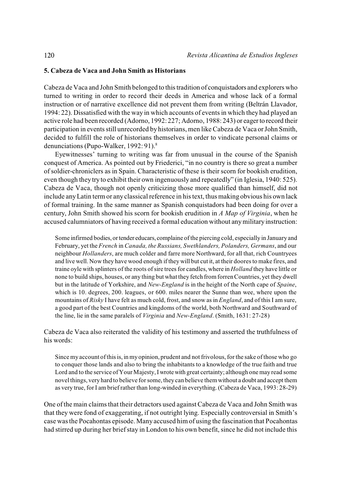# **5. Cabeza de Vaca and John Smith as Historians**

Cabeza de Vaca and John Smith belonged to this tradition of conquistadors and explorers who turned to writing in order to record their deeds in America and whose lack of a formal instruction or of narrative excellence did not prevent them from writing (Beltrán Llavador, 1994: 22). Dissatisfied with the way in which accounts of events in which they had played an active role had been recorded (Adorno, 1992: 227; Adorno, 1988: 243) or eager to record their participation in events still unrecorded by historians, men like Cabeza de Vaca or John Smith, decided to fulfill the role of historians themselves in order to vindicate personal claims or denunciations (Pupo-Walker, 1992: 91).<sup>8</sup>

Eyewitnesses' turning to writing was far from unusual in the course of the Spanish conquest of America. As pointed out by Friederici, "in no country is there so great a number of soldier-chroniclers as in Spain. Characteristic of these is their scorn for bookish erudition, even though they try to exhibit their own ingenuously and repeatedly" (in Iglesia, 1940: 525). Cabeza de Vaca, though not openly criticizing those more qualified than himself, did not include any Latin term or any classical reference in his text, thus making obvious his own lack of formal training. In the same manner as Spanish conquistadors had been doing for over a century, John Smith showed his scorn for bookish erudition in *A Map of Virginia*, when he accused calumniators of having received a formal education without any military instruction:

Some infirmed bodies, or tender educars, complaine of the piercing cold, especially in January and February, yet the *French* in *Canada, the Russians, Swethlanders, Polanders, Germans*, and our neighbour *Hollanders*, are much colder and farre more Northward, for all that, rich Countryees and live well. Now they have wood enough if they will but cut it, at their doores to make fires, and traine oyle with splinters of the roots of sire trees for candles, where in *Holland* they have little or none to build ships, houses, or any thing but what they fetch from forren Countries, yet they dwell but in the latitude of Yorkshire, and *New-England* is in the height of the North cape of *Spaine*, which is 10. degrees, 200. leagues, or 600. miles nearer the Sunne than wee, where upon the mountains of *Risky* I have felt as much cold, frost, and snow as in *England*, and of this I am sure, a good part of the best Countries and kingdoms of the world, both Northward and Southward of the line, lie in the same paralels of *Virginia* and *New-England*. (Smith, 1631: 27-28)

Cabeza de Vaca also reiterated the validity of his testimony and asserted the truthfulness of his words:

Since my account of this is, in my opinion, prudent and not frivolous, for the sake of those who go to conquer those lands and also to bring the inhabitants to a knowledge of the true faith and true Lord and to the service of Your Majesty, I wrote with great certainty; although one may read some novel things, very hard to believe for some, they can believe them without a doubt and accept them as very true, for I am brief rather than long-winded in everything. (Cabeza de Vaca, 1993: 28-29)

One of the main claims that their detractors used against Cabeza de Vaca and John Smith was that they were fond of exaggerating, if not outright lying. Especially controversial in Smith's case was the Pocahontas episode. Many accused him of using the fascination that Pocahontas had stirred up during her brief stay in London to his own benefit, since he did not include this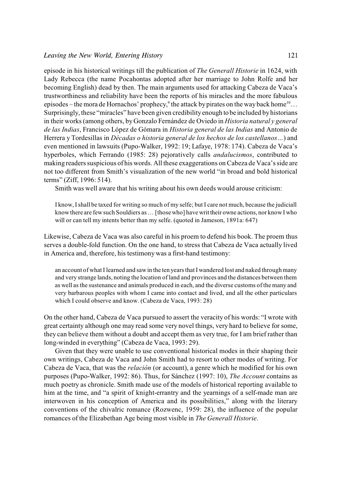episode in his historical writings till the publication of *The Generall Historie* in 1624, with Lady Rebecca (the name Pocahontas adopted after her marriage to John Rolfe and her becoming English) dead by then. The main arguments used for attacking Cabeza de Vaca's trustworthiness and reliability have been the reports of his miracles and the more fabulous episodes – the mora de Hornachos' prophecy,<sup>9</sup> the attack by pirates on the way back home<sup>10</sup>... Surprisingly, these "miracles" have been given credibility enough to be included by historians in their works (among others, by Gonzalo Fernández de Oviedo in *Historia natural y general de las Indias*, Francisco López de Gómara in *Historia general de las Indias* and Antonio de Herrera y Tordesillas in *Décadas o historia general de los hechos de los castellanos…*) and even mentioned in lawsuits (Pupo-Walker, 1992: 19; Lafaye, 1978: 174). Cabeza de Vaca's hyperboles, which Ferrando (1985: 28) pejoratively calls *andalucismos*, contributed to making readers suspicious of his words. All these exaggerations on Cabeza de Vaca's side are not too different from Smith's visualization of the new world "in broad and bold historical terms" (Ziff, 1996: 514).

Smith was well aware that his writing about his own deeds would arouse criticism:

I know, I shall be taxed for writing so much of my selfe; but I care not much, because the judiciall know there are few such Souldiers as ... [those who] have writ their owne actions, nor know I who will or can tell my intents better than my selfe. (quoted in Jameson, 1891a: 647)

Likewise, Cabeza de Vaca was also careful in his proem to defend his book. The proem thus serves a double-fold function. On the one hand, to stress that Cabeza de Vaca actually lived in America and, therefore, his testimony was a first-hand testimony:

an account of what I learned and saw in the ten years that I wandered lost and naked through many and very strange lands, noting the location of land and provinces and the distances between them as well as the sustenance and animals produced in each, and the diverse customs of the many and very barbarous peoples with whom I came into contact and lived, and all the other particulars which I could observe and know. (Cabeza de Vaca, 1993: 28)

On the other hand, Cabeza de Vaca pursued to assert the veracity of his words: "I wrote with great certainty although one may read some very novel things, very hard to believe for some, they can believe them without a doubt and accept them as very true, for I am brief rather than long-winded in everything" (Cabeza de Vaca, 1993: 29).

Given that they were unable to use conventional historical modes in their shaping their own writings, Cabeza de Vaca and John Smith had to resort to other modes of writing. For Cabeza de Vaca, that was the *relación* (or account), a genre which he modified for his own purposes (Pupo-Walker, 1992: 86). Thus, for Sánchez (1997: 10), *The Account* contains as much poetry as chronicle. Smith made use of the models of historical reporting available to him at the time, and "a spirit of knight-errantry and the yearnings of a self-made man are interwoven in his conception of America and its possibilities," along with the literary conventions of the chivalric romance (Rozwenc, 1959: 28), the influence of the popular romances of the Elizabethan Age being most visible in *The Generall Historie*.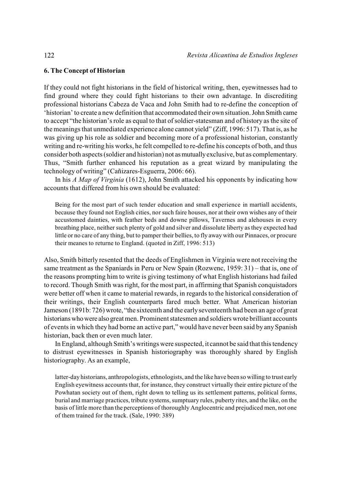# **6. The Concept of Historian**

If they could not fight historians in the field of historical writing, then, eyewitnesses had to find ground where they could fight historians to their own advantage. In discrediting professional historians Cabeza de Vaca and John Smith had to re-define the conception of 'historian' to create a new definition that accommodated their own situation. John Smith came to accept "the historian's role as equal to that of soldier-statesman and of history as the site of the meanings that unmediated experience alone cannot yield" (Ziff, 1996: 517). That is, as he was giving up his role as soldier and becoming more of a professional historian, constantly writing and re-writing his works, he felt compelled to re-define his concepts of both, and thus consider both aspects (soldier and historian) not as mutually exclusive, but as complementary. Thus, "Smith further enhanced his reputation as a great wizard by manipulating the technology of writing" (Cañizares-Esguerra, 2006: 66).

In his *A Map of Virginia* (1612), John Smith attacked his opponents by indicating how accounts that differed from his own should be evaluated:

Being for the most part of such tender education and small experience in martiall accidents, because they found not English cities, nor such faire houses, nor at their own wishes any of their accustomed dainties, with feather beds and downe pillows, Tavernes and alehouses in every breathing place, neither such plenty of gold and silver and dissolute liberty as they expected had little or no care of any thing, but to pamper their bellies, to fly away with our Pinnaces, or procure their meanes to returne to England. (quoted in Ziff, 1996: 513)

Also, Smith bitterly resented that the deeds of Englishmen in Virginia were not receiving the same treatment as the Spaniards in Peru or New Spain (Rozwenc, 1959: 31) – that is, one of the reasons prompting him to write is giving testimony of what English historians had failed to record. Though Smith was right, for the most part, in affirming that Spanish conquistadors were better off when it came to material rewards, in regards to the historical consideration of their writings, their English counterparts fared much better. What American historian Jameson (1891b: 726) wrote, "the sixteenth and the early seventeenth had been an age of great historians who were also great men. Prominent statesmen and soldiers wrote brilliant accounts of events in which they had borne an active part," would have never been said by any Spanish historian, back then or even much later.

In England, although Smith's writings were suspected, it cannot be said that this tendency to distrust eyewitnesses in Spanish historiography was thoroughly shared by English historiography. As an example,

latter-day historians, anthropologists, ethnologists, and the like have been so willing to trust early English eyewitness accounts that, for instance, they construct virtually their entire picture of the Powhatan society out of them, right down to telling us its settlement patterns, political forms, burial and marriage practices, tribute systems, sumptuary rules, puberty rites, and the like, on the basis of little more than the perceptions of thoroughly Anglocentric and prejudiced men, not one of them trained for the track. (Sale, 1990: 389)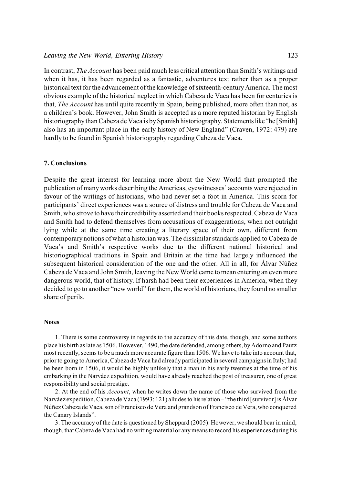## *Leaving the New World, Entering History* 123

In contrast, *The Account* has been paid much less critical attention than Smith's writings and when it has, it has been regarded as a fantastic, adventures text rather than as a proper historical text for the advancement of the knowledge of sixteenth-century America. The most obvious example of the historical neglect in which Cabeza de Vaca has been for centuries is that, *The Account* has until quite recently in Spain, being published, more often than not, as a children's book. However, John Smith is accepted as a more reputed historian by English historiography than Cabeza de Vaca is by Spanish historiography. Statements like "he [Smith] also has an important place in the early history of New England" (Craven, 1972: 479) are hardly to be found in Spanish historiography regarding Cabeza de Vaca.

# **7. Conclusions**

Despite the great interest for learning more about the New World that prompted the publication of many works describing the Americas, eyewitnesses' accounts were rejected in favour of the writings of historians, who had never set a foot in America. This scorn for participants' direct experiences was a source of distress and trouble for Cabeza de Vaca and Smith, who strove to have their credibility asserted and their books respected. Cabeza de Vaca and Smith had to defend themselves from accusations of exaggerations, when not outright lying while at the same time creating a literary space of their own, different from contemporary notions of what a historian was. The dissimilar standards applied to Cabeza de Vaca's and Smith's respective works due to the different national historical and historiographical traditions in Spain and Britain at the time had largely influenced the subsequent historical consideration of the one and the other. All in all, for Álvar Núñez Cabeza de Vaca and John Smith, leaving the New World came to mean entering an even more dangerous world, that of history. If harsh had been their experiences in America, when they decided to go to another "new world" for them, the world of historians, they found no smaller share of perils.

#### **Notes**

1. There is some controversy in regards to the accuracy of this date, though, and some authors place his birth as late as 1506. However, 1490, the date defended, among others, by Adorno and Pautz most recently, seems to be a much more accurate figure than 1506. We have to take into account that, prior to going to America, Cabeza de Vaca had already participated in several campaigns in Italy; had he been born in 1506, it would be highly unlikely that a man in his early twenties at the time of his embarking in the Narváez expedition, would have already reached the post of treasurer, one of great responsibility and social prestige.

2. At the end of his *Account*, when he writes down the name of those who survived from the Narváez expedition, Cabeza de Vaca (1993: 121) alludes to his relation – "the third [survivor] is Álvar Núñez Cabeza de Vaca, son of Francisco de Vera and grandson of Francisco de Vera, who conquered the Canary Islands".

3. The accuracy of the date is questioned by Sheppard (2005). However, we should bear in mind, though, that Cabeza de Vaca had no writing material or any means to record his experiences during his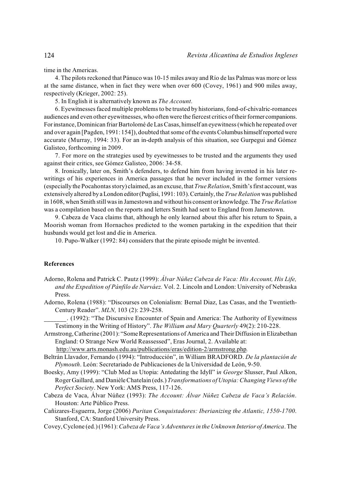time in the Americas.

4. The pilots reckoned that Pánuco was 10-15 miles away and Río de las Palmas was more or less at the same distance, when in fact they were when over 600 (Covey, 1961) and 900 miles away, respectively (Krieger, 2002: 25).

5. In English it is alternatively known as *The Account*.

6. Eyewitnesses faced multiple problemsto be trusted by historians, fond-of-chivalric-romances audiences and even other eyewitnesses, who often were the fiercest critics of their former companions. For instance, Dominican friar Bartolomé de Las Casas, himself an eyewitness (which he repeated over and over again [Pagden, 1991: 154]), doubted that some of the events Columbus himself reported were accurate (Murray, 1994: 33). For an in-depth analysis of this situation, see Gurpegui and Gómez Galisteo, forthcoming in 2009.

7. For more on the strategies used by eyewitnesses to be trusted and the arguments they used against their critics, see Gómez Galisteo, 2006: 34-58.

8. Ironically, later on, Smith's defenders, to defend him from having invented in his later rewritings of his experiences in America passages that he never included in the former versions (especially the Pocahontas story) claimed, as an excuse, that *True Relation*, Smith's first account, was extensively altered by a London editor (Puglisi, 1991: 103). Certainly, the *True Relation* was published in 1608, when Smith still was in Jamestown and without his consent or knowledge. The *True Relation* was a compilation based on the reports and letters Smith had sent to England from Jamestown.

9. Cabeza de Vaca claims that, although he only learned about this after his return to Spain, a Moorish woman from Hornachos predicted to the women partaking in the expedition that their husbands would get lost and die in America.

10. Pupo-Walker (1992: 84) considers that the pirate episode might be invented.

#### **References**

- Adorno, Rolena and Patrick C. Pautz (1999): *Álvar Núñez Cabeza de Vaca: His Account, His Life, and the Expedition of Pánfilo de Narváez.* Vol. 2. Lincoln and London: University of Nebraska Press.
- Adorno, Rolena (1988): "Discourses on Colonialism: Bernal Diaz, Las Casas, and the Twentieth-Century Reader". *MLN,* 103 (2): 239-258.
	- \_\_\_\_\_\_\_. (1992): "The Discursive Encounter of Spain and America: The Authority of Eyewitness Testimony in the Writing of History". *The William and Mary Quarterly* 49(2): 210-228.
- Armstrong, Catherine (2001): "Some Representations of America and Their Diffusion in Elizabethan England: O Strange New World Reassessed", Eras Journal, 2. Available at:

<http://www.arts.monash.edu.au/publications/eras/edition-2/armstrong.php>*.* 

- Beltrán Llavador, Fernando (1994): "Introducción", in William BRADFORD. *De la plantación de Plymouth*. León: Secretariado de Publicaciones de la Universidad de León, 9-50.
- Boesky, Amy (1999): "Club Med as Utopia: Antedating the Idyll" i*n George* Slusser, Paul Alkon, Roger Gaillard, and Danièle Chatelain (eds.) *Transformations of Utopia: Changing Views of the Perfect Society*. New York: AMS Press, 117-126.
- Cabeza de Vaca, Álvar Núñez (1993): *The Account: Álvar Núñez Cabeza de Vaca's Relación*. Houston: Arte Público Press.
- Cañizares-Esguerra, Jorge (2006) *Puritan Conquistadores: Iberianizing the Atlantic, 1550-1700*. Stanford, CA: Stanford University Press.
- Covey, Cyclone (ed.) (1961): *Cabeza de Vaca's Adventures in the Unknown Interior of America*. The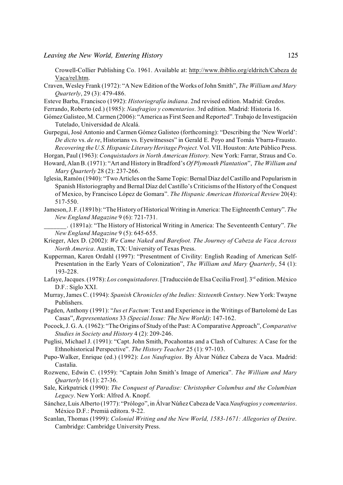Crowell-Collier Publishing Co. 1961. Available at: [http://www.ibiblio.org/eldritch/Cabeza de](http://www.ibiblio.org/eldritch/Cabeza%20de%20Vaca/rel.htm) [Vaca/rel.htm](http://www.ibiblio.org/eldritch/Cabeza%20de%20Vaca/rel.htm).

- Craven, Wesley Frank (1972): "A New Edition of the Works of John Smith", *The William and Mary Quarterly*, 29 (3): 479-486.
- Esteve Barba, Francisco (1992): *Historiografía indiana*. 2nd revised edition. Madrid: Gredos.

Ferrando, Roberto (ed.) (1985): *Naufragios y comentarios*. 3rd edition. Madrid: Historia 16.

- Gómez Galisteo, M. Carmen (2006): "America as First Seen and Reported". Trabajo de Investigación Tutelado, Universidad de Alcalá.
- Gurpegui, José Antonio and Carmen Gómez Galisteo (forthcoming): "Describing the 'New World': *De dicto* vs. *de re*, Historians vs. Eyewitnesses" in Gerald E. Poyo and Tomás Ybarra-Frausto. *Recovering the U.S. Hispanic Literary Heritage Project.* Vol. VII. Houston: Arte Público Press. Horgan, Paul (1963): *Conquistadors in North American History.* New York: Farrar, Straus and Co.
- Howard, Alan B.(1971): "Art and History in Bradford's *Of Plymouth Plantation*", *The William and Mary Quarterly* 28 (2): 237-266.
- Iglesia, Ramón (1940): "Two Articles on the Same Topic: Bernal Díaz del Castillo and Popularism in Spanish Historiography and Bernal Díaz del Castillo's Criticisms of the History of the Conquest of Mexico, by Francisco López de Gomara". *The Hispanic American Historical Review* 20(4): 517-550.
- Jameson, J. F. (1891b): "The History of Historical Writing in America: The Eighteenth Century". *The New England Magazine* 9 (6): 721-731.
	- \_\_\_\_\_\_\_. (1891a): "The History of Historical Writing in America: The Seventeenth Century". *The New England Magazine* 9 (5): 645-655.
- Krieger, Alex D. (2002): *We Came Naked and Barefoot. The Journey of Cabeza de Vaca Across North America*. Austin, TX: University of Texas Press.
- Kupperman, Karen Ordahl (1997): "Presentment of Civility: English Reading of American Self-Presentation in the Early Years of Colonization", *The William and Mary Quarterly*, 54 (1): 193-228.
- Lafaye, Jacques. (1978): *Los conquistadores*. [Traducción de Elsa Cecilia Frost]. 3<sup>rd</sup> edition. México D.F.: Siglo XXI.
- Murray, James C. (1994): *Spanish Chronicles of the Indies: Sixteenth Century*. New York: Twayne Publishers.
- Pagden, Anthony (1991): "*Ius et Factum*: Text and Experience in the Writings of Bartolomé de Las Casas", *Representations* 33 *(Special Issue: The New World)*: 147-162.
- Pocock, J. G. A. (1962): "The Origins of Study of the Past: A Comparative Approach", *Comparative Studies in Society and History* 4 (2): 209-246.
- Puglisi, Michael J. (1991): "Capt. John Smith, Pocahontas and a Clash of Cultures: A Case for the Ethnohistorical Perspective". *The History Teacher* 25 (1): 97-103.
- Pupo-Walker, Enrique (ed.) (1992): *Los Naufragios*. By Álvar Núñez Cabeza de Vaca. Madrid: Castalia.
- Rozwenc, Edwin C. (1959): "Captain John Smith's Image of America". *The William and Mary Quarterly* 16 (1): 27-36.
- Sale, Kirkpatrick (1990): *The Conquest of Paradise: Christopher Columbus and the Columbian Legacy*. New York: Alfred A. Knopf.
- Sánchez, Luis Alberto (1977): "Prólogo", in Álvar Núñez Cabeza de Vaca *Naufragios y comentarios*. México D.F.: Premià editora. 9-22.
- Scanlan, Thomas (1999): *Colonial Writing and the New World, 1583-1671: Allegories of Desire*. Cambridge: Cambridge University Press.